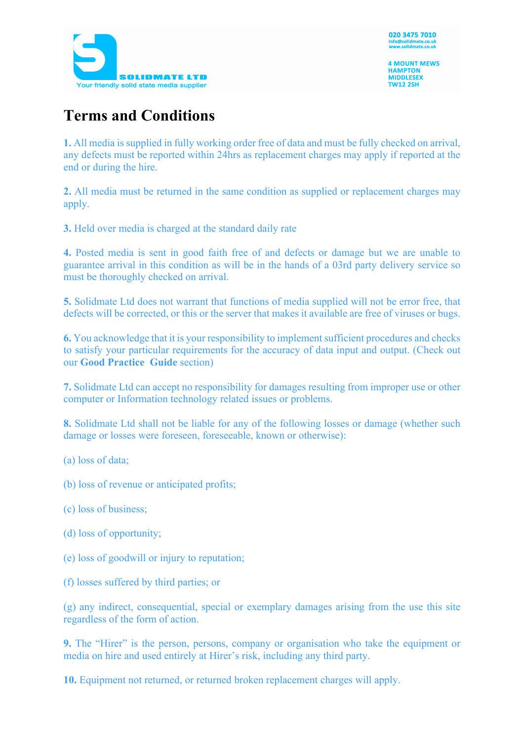

**4 MOUNT MEWS HAMPTON MIDDLESEX TW12 2SH** 

## **Terms and Conditions**

**1.** All media is supplied in fully working order free of data and must be fully checked on arrival, any defects must be reported within 24hrs as replacement charges may apply if reported at the end or during the hire.

**2.** All media must be returned in the same condition as supplied or replacement charges may apply.

**3.** Held over media is charged at the standard daily rate

**4.** Posted media is sent in good faith free of and defects or damage but we are unable to guarantee arrival in this condition as will be in the hands of a 03rd party delivery service so must be thoroughly checked on arrival.

**5.** Solidmate Ltd does not warrant that functions of media supplied will not be error free, that defects will be corrected, or this or the server that makes it available are free of viruses or bugs.

**6.** You acknowledge that it is your responsibility to implement sufficient procedures and checks to satisfy your particular requirements for the accuracy of data input and output. (Check out our **Good Practice Guide** section)

**7.** Solidmate Ltd can accept no responsibility for damages resulting from improper use or other computer or Information technology related issues or problems.

**8.** Solidmate Ltd shall not be liable for any of the following losses or damage (whether such damage or losses were foreseen, foreseeable, known or otherwise):

(a) loss of data;

- (b) loss of revenue or anticipated profits;
- (c) loss of business;
- (d) loss of opportunity;
- (e) loss of goodwill or injury to reputation;
- (f) losses suffered by third parties; or

(g) any indirect, consequential, special or exemplary damages arising from the use this site regardless of the form of action.

**9.** The "Hirer" is the person, persons, company or organisation who take the equipment or media on hire and used entirely at Hirer's risk, including any third party.

**10.** Equipment not returned, or returned broken replacement charges will apply.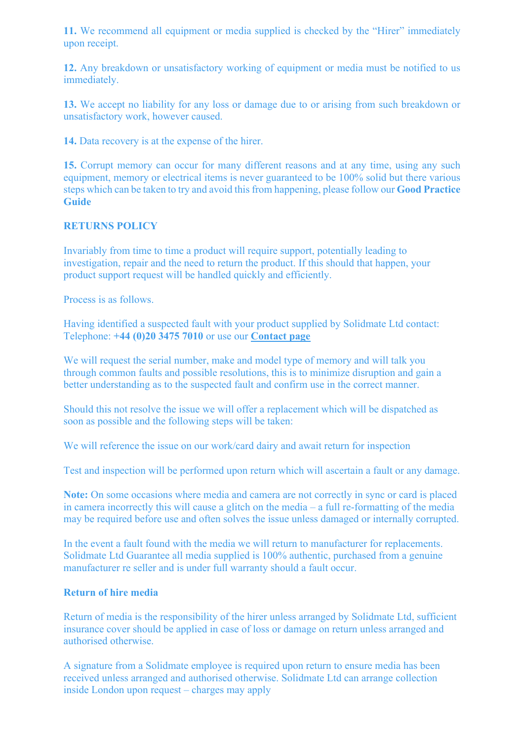11. We recommend all equipment or media supplied is checked by the "Hirer" immediately upon receipt.

**12.** Any breakdown or unsatisfactory working of equipment or media must be notified to us immediately.

**13.** We accept no liability for any loss or damage due to or arising from such breakdown or unsatisfactory work, however caused.

**14.** Data recovery is at the expense of the hirer.

**15.** Corrupt memory can occur for many different reasons and at any time, using any such equipment, memory or electrical items is never guaranteed to be 100% solid but there various steps which can be taken to try and avoid this from happening, please follow our **Good Practice Guide** 

## **RETURNS POLICY**

Invariably from time to time a product will require support, potentially leading to investigation, repair and the need to return the product. If this should that happen, your product support request will be handled quickly and efficiently.

Process is as follows.

Having identified a suspected fault with your product supplied by Solidmate Ltd contact: Telephone: **+44 (0)20 3475 7010** or use our **Contact page**

We will request the serial number, make and model type of memory and will talk you through common faults and possible resolutions, this is to minimize disruption and gain a better understanding as to the suspected fault and confirm use in the correct manner.

Should this not resolve the issue we will offer a replacement which will be dispatched as soon as possible and the following steps will be taken:

We will reference the issue on our work/card dairy and await return for inspection

Test and inspection will be performed upon return which will ascertain a fault or any damage.

**Note:** On some occasions where media and camera are not correctly in sync or card is placed in camera incorrectly this will cause a glitch on the media – a full re-formatting of the media may be required before use and often solves the issue unless damaged or internally corrupted.

In the event a fault found with the media we will return to manufacturer for replacements. Solidmate Ltd Guarantee all media supplied is 100% authentic, purchased from a genuine manufacturer re seller and is under full warranty should a fault occur.

## **Return of hire media**

Return of media is the responsibility of the hirer unless arranged by Solidmate Ltd, sufficient insurance cover should be applied in case of loss or damage on return unless arranged and authorised otherwise.

A signature from a Solidmate employee is required upon return to ensure media has been received unless arranged and authorised otherwise. Solidmate Ltd can arrange collection inside London upon request – charges may apply